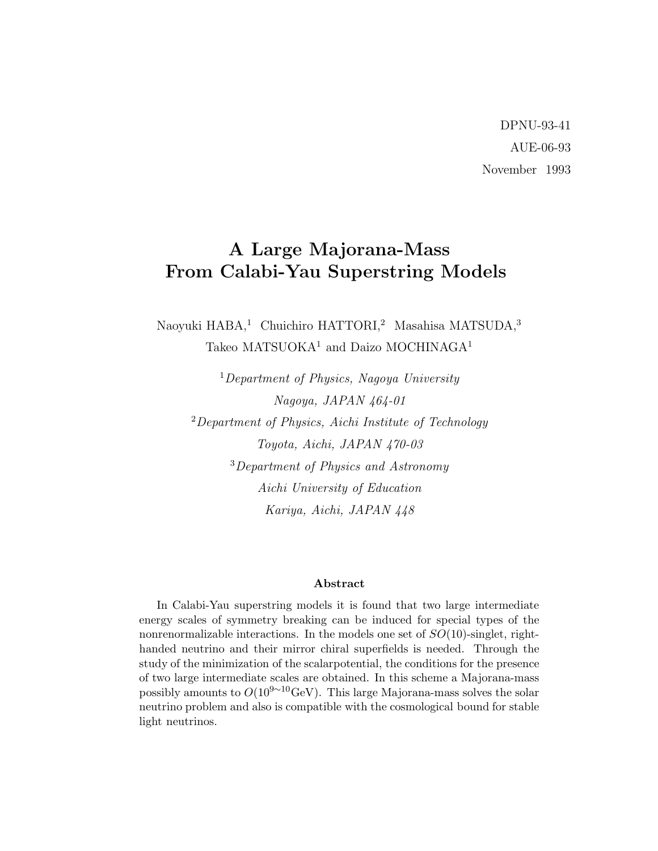DPNU-93-41 AUE-06-93 November 1993

# A Large Majorana-Mass From Calabi-Yau Superstring Models

Naoyuki HABA,<sup>1</sup> Chuichiro HATTORI,<sup>2</sup> Masahisa MATSUDA,<sup>3</sup> Takeo MATSUOKA<sup>1</sup> and Daizo MOCHINAGA<sup>1</sup>

<sup>1</sup>Department of Physics, Nagoya University Nagoya, JAPAN 464-01  $2$ Department of Physics, Aichi Institute of Technology Toyota, Aichi, JAPAN 470-03 <sup>3</sup>Department of Physics and Astronomy Aichi University of Education Kariya, Aichi, JAPAN 448

#### Abstract

In Calabi-Yau superstring models it is found that two large intermediate energy scales of symmetry breaking can be induced for special types of the nonrenormalizable interactions. In the models one set of  $SO(10)$ -singlet, righthanded neutrino and their mirror chiral superfields is needed. Through the study of the minimization of the scalarpotential, the conditions for the presence of two large intermediate scales are obtained. In this scheme a Majorana-mass possibly amounts to  $O(10^{9 \sim 10} \text{GeV})$ . This large Majorana-mass solves the solar neutrino problem and also is compatible with the cosmological bound for stable light neutrinos.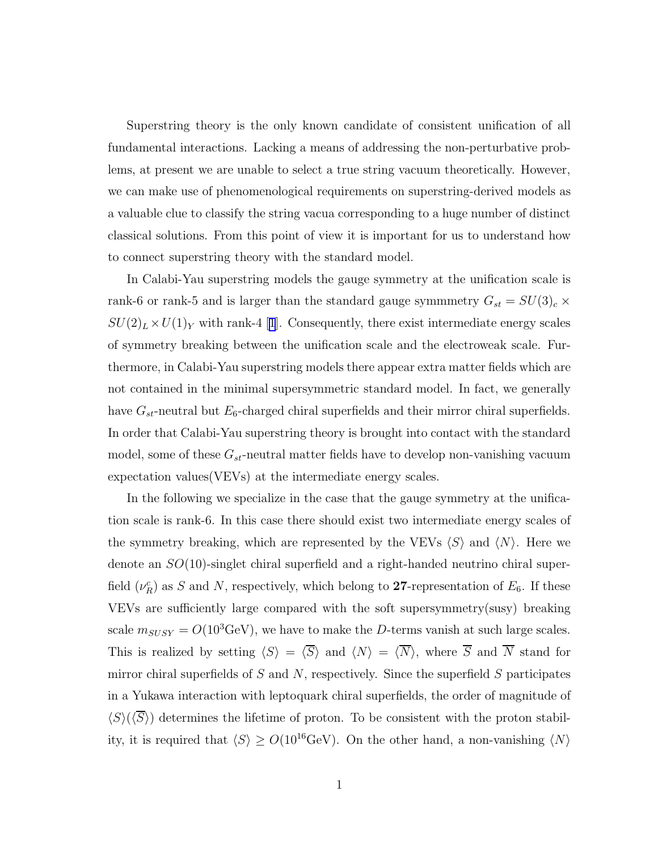Superstring theory is the only known candidate of consistent unification of all fundamental interactions. Lacking a means of addressing the non-perturbative problems, at present we are unable to select a true string vacuum theoretically. However, we can make use of phenomenological requirements on superstring-derived models as a valuable clue to classify the string vacua corresponding to a huge number of distinct classical solutions. From this point of view it is important for us to understand how to connect superstring theory with the standard model.

In Calabi-Yau superstring models the gauge symmetry at the unification scale is rank-6 or rank-5 and is larger than the standard gauge symmetry  $G_{st} = SU(3)_c \times$  $SU(2)_L \times U(1)_Y$  $SU(2)_L \times U(1)_Y$  $SU(2)_L \times U(1)_Y$  $SU(2)_L \times U(1)_Y$  $SU(2)_L \times U(1)_Y$  with rank-4 [1]. Consequently, there exist intermediate energy scales of symmetry breaking between the unification scale and the electroweak scale. Furthermore, in Calabi-Yau superstring models there appear extra matter fields which are not contained in the minimal supersymmetric standard model. In fact, we generally have  $G_{st}$ -neutral but  $E_6$ -charged chiral superfields and their mirror chiral superfields. In order that Calabi-Yau superstring theory is brought into contact with the standard model, some of these  $G_{st}$ -neutral matter fields have to develop non-vanishing vacuum expectation values(VEVs) at the intermediate energy scales.

In the following we specialize in the case that the gauge symmetry at the unification scale is rank-6. In this case there should exist two intermediate energy scales of the symmetry breaking, which are represented by the VEVs  $\langle S \rangle$  and  $\langle N \rangle$ . Here we denote an SO(10)-singlet chiral superfield and a right-handed neutrino chiral superfield  $(\nu_R^c)$  as S and N, respectively, which belong to 27-representation of  $E_6$ . If these VEVs are sufficiently large compared with the soft supersymmetry(susy) breaking scale  $m_{SUSY} = O(10^3 \text{GeV})$ , we have to make the D-terms vanish at such large scales. This is realized by setting  $\langle S \rangle = \langle \overline{S} \rangle$  and  $\langle N \rangle = \langle \overline{N} \rangle$ , where  $\overline{S}$  and  $\overline{N}$  stand for mirror chiral superfields of  $S$  and  $N$ , respectively. Since the superfield  $S$  participates in a Yukawa interaction with leptoquark chiral superfields, the order of magnitude of  $\langle S \rangle (\langle S \rangle)$  determines the lifetime of proton. To be consistent with the proton stability, it is required that  $\langle S \rangle \ge O(10^{16} \text{GeV})$ . On the other hand, a non-vanishing  $\langle N \rangle$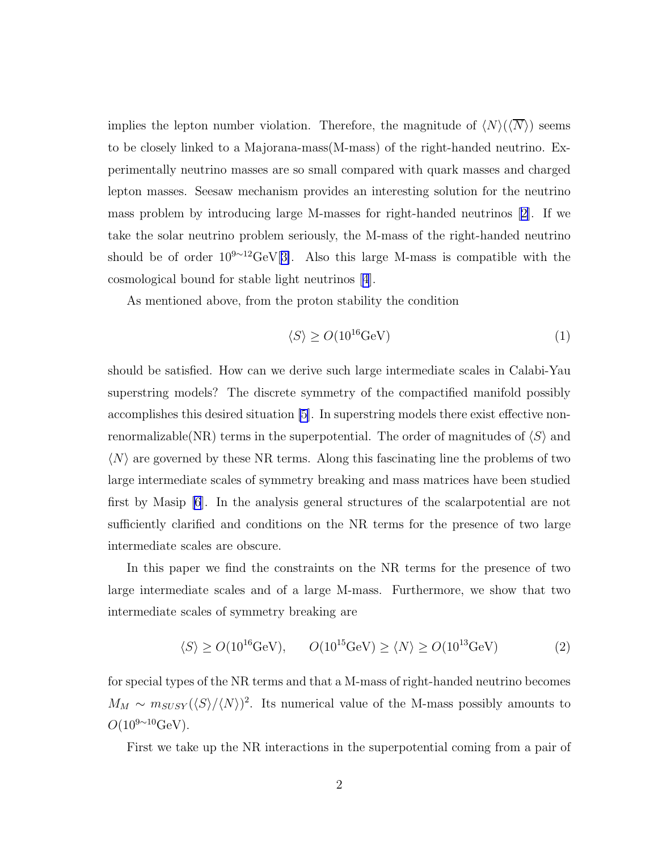implies the lepton number violation. Therefore, the magnitude of  $\langle N \rangle(\langle \overline{N} \rangle)$  seems to be closely linked to a Majorana-mass(M-mass) of the right-handed neutrino. Experimentally neutrino masses are so small compared with quark masses and charged lepton masses. Seesaw mechanism provides an interesting solution for the neutrino mass problem by introducing large M-masses for right-handed neutrinos [\[2\]](#page-10-0). If we take the solar neutrino problem seriously, the M-mass of the right-handed neutrino should be of order  $10^{9 \sim 12} \text{GeV}[3]$  $10^{9 \sim 12} \text{GeV}[3]$ . Also this large M-mass is compatible with the cosmological bound for stable light neutrinos[[4](#page-10-0)].

As mentioned above, from the proton stability the condition

$$
\langle S \rangle \ge O(10^{16} \text{GeV}) \tag{1}
$$

should be satisfied. How can we derive such large intermediate scales in Calabi-Yau superstring models? The discrete symmetry of the compactified manifold possibly accomplishes this desired situation [\[5](#page-10-0)]. In superstring models there exist effective nonrenormalizable(NR) terms in the superpotential. The order of magnitudes of  $\langle S \rangle$  and  $\langle N \rangle$  are governed by these NR terms. Along this fascinating line the problems of two large intermediate scales of symmetry breaking and mass matrices have been studied first by Masip [\[6](#page-10-0)]. In the analysis general structures of the scalarpotential are not sufficiently clarified and conditions on the NR terms for the presence of two large intermediate scales are obscure.

In this paper we find the constraints on the NR terms for the presence of two large intermediate scales and of a large M-mass. Furthermore, we show that two intermediate scales of symmetry breaking are

$$
\langle S \rangle \ge O(10^{16} \text{GeV}), \qquad O(10^{15} \text{GeV}) \ge \langle N \rangle \ge O(10^{13} \text{GeV}) \tag{2}
$$

for special types of the NR terms and that a M-mass of right-handed neutrino becomes  $M_M \sim m_{SUSY}(\langle S \rangle / \langle N \rangle)^2$ . Its numerical value of the M-mass possibly amounts to  $O(10^{9 \sim 10} \text{GeV})$ .

First we take up the NR interactions in the superpotential coming from a pair of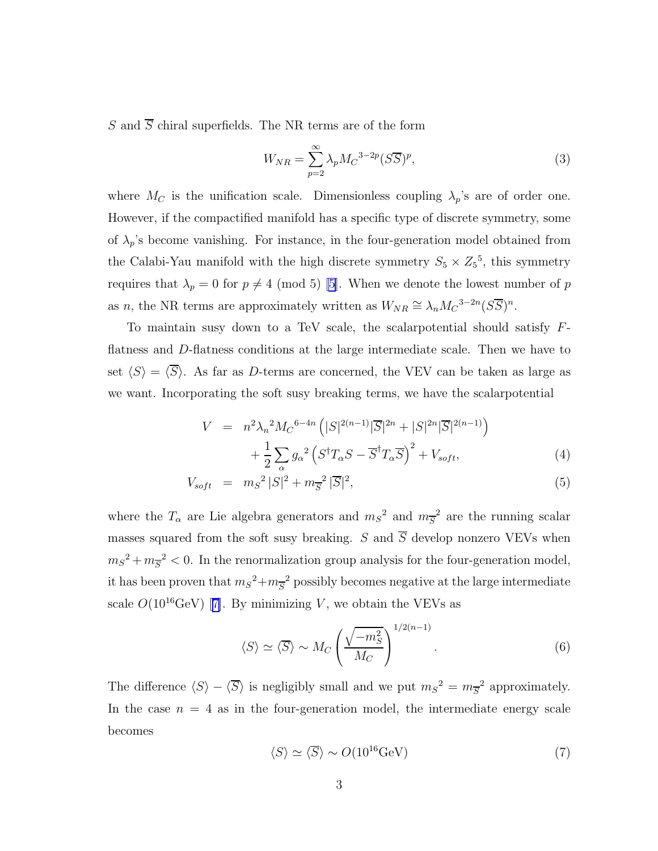S and  $\overline{S}$  chiral superfields. The NR terms are of the form

$$
W_{NR} = \sum_{p=2}^{\infty} \lambda_p M_C^{-3-2p} (S\overline{S})^p,
$$
\n(3)

where  $M_C$  is the unification scale. Dimensionless coupling  $\lambda_p$ 's are of order one. However, if the compactified manifold has a specific type of discrete symmetry, some of  $\lambda_p$ 's become vanishing. For instance, in the four-generation model obtained from the Calabi-Yau manifold with the high discrete symmetry  $S_5 \times Z_5^5$ , this symmetry requires that  $\lambda_p = 0$  for  $p \neq 4 \pmod{5}$  [\[5](#page-10-0)]. When we denote the lowest number of p as n, the NR terms are approximately written as  $W_{NR} \cong \lambda_n M_C^{3-2n} (S\overline{S})^n$ .

To maintain susy down to a TeV scale, the scalar potential should satisfy  $F$ flatness and D-flatness conditions at the large intermediate scale. Then we have to set  $\langle S \rangle = \langle \overline{S} \rangle$ . As far as D-terms are concerned, the VEV can be taken as large as we want. Incorporating the soft susy breaking terms, we have the scalarpotential

$$
V = n^2 \lambda_n^2 M_C^{-6-4n} \left( |S|^{2(n-1)} |\overline{S}|^{2n} + |S|^{2n} |\overline{S}|^{2(n-1)} \right)
$$
  
+ 
$$
\frac{1}{2} \sum_{\alpha} g_{\alpha}^2 \left( S^{\dagger} T_{\alpha} S - \overline{S}^{\dagger} T_{\alpha} \overline{S} \right)^2 + V_{soft},
$$
 (4)

$$
V_{soft} = m_S^2 |S|^2 + m_{\overline{S}}^2 |\overline{S}|^2, \tag{5}
$$

where the  $T_{\alpha}$  are Lie algebra generators and  $m_S^2$  and  $m_{\overline{S}}^2$  are the running scalar masses squared from the soft susy breaking. S and  $\overline{S}$  develop nonzero VEVs when  $m_S^2 + m_{\overline{S}}^2 < 0$ . In the renormalization group analysis for the four-generation model, it has been proven that  $m_S^2 + m_{\overline{S}}^2$  possibly becomes negative at the large intermediate scale $O(10^{16} \text{GeV})$  [[7\]](#page-10-0). By minimizing V, we obtain the VEVs as

$$
\langle S \rangle \simeq \langle \overline{S} \rangle \sim M_C \left( \frac{\sqrt{-m_S^2}}{M_C} \right)^{1/2(n-1)}.
$$
 (6)

The difference  $\langle S \rangle - \langle \overline{S} \rangle$  is negligibly small and we put  $m_S^2 = m_{\overline{S}}^2$  approximately. In the case  $n = 4$  as in the four-generation model, the intermediate energy scale becomes

$$
\langle S \rangle \simeq \langle \overline{S} \rangle \sim O(10^{16} \text{GeV}) \tag{7}
$$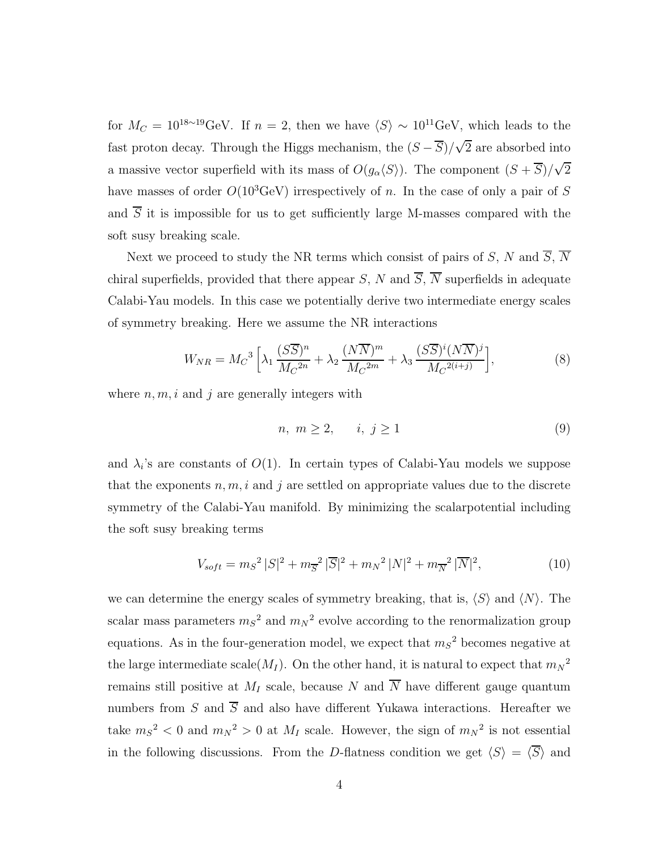for  $M_C = 10^{18 \sim 19}$ GeV. If  $n = 2$ , then we have  $\langle S \rangle \sim 10^{11}$ GeV, which leads to the fast proton decay. Through the Higgs mechanism, the  $(S - \overline{S})/\sqrt{2}$  are absorbed into a massive vector superfield with its mass of  $O(g_{\alpha} \langle S \rangle)$ . The component  $(S + \overline{S})/\sqrt{2}$ have masses of order  $O(10^3 \text{GeV})$  irrespectively of n. In the case of only a pair of S and  $\overline{S}$  it is impossible for us to get sufficiently large M-masses compared with the soft susy breaking scale.

Next we proceed to study the NR terms which consist of pairs of S, N and  $\overline{S}$ ,  $\overline{N}$ chiral superfields, provided that there appear S, N and  $\overline{S}$ ,  $\overline{N}$  superfields in adequate Calabi-Yau models. In this case we potentially derive two intermediate energy scales of symmetry breaking. Here we assume the NR interactions

$$
W_{NR} = M_C^3 \left[ \lambda_1 \frac{(S\overline{S})^n}{M_C^{2n}} + \lambda_2 \frac{(N\overline{N})^m}{M_C^{2m}} + \lambda_3 \frac{(S\overline{S})^i (N\overline{N})^j}{M_C^{2(i+j)}} \right],
$$
 (8)

where  $n, m, i$  and j are generally integers with

$$
n, m \ge 2, \qquad i, j \ge 1 \tag{9}
$$

and  $\lambda_i$ 's are constants of  $O(1)$ . In certain types of Calabi-Yau models we suppose that the exponents  $n, m, i$  and j are settled on appropriate values due to the discrete symmetry of the Calabi-Yau manifold. By minimizing the scalarpotential including the soft susy breaking terms

$$
V_{soft} = m_S^2 |S|^2 + m_{\overline{S}}^2 |\overline{S}|^2 + m_N^2 |N|^2 + m_{\overline{N}}^2 |\overline{N}|^2, \qquad (10)
$$

we can determine the energy scales of symmetry breaking, that is,  $\langle S \rangle$  and  $\langle N \rangle$ . The scalar mass parameters  $m_S^2$  and  $m_N^2$  evolve according to the renormalization group equations. As in the four-generation model, we expect that  $m_S^2$  becomes negative at the large intermediate scale( $M_I$ ). On the other hand, it is natural to expect that  $m_N^2$ remains still positive at  $M_I$  scale, because N and  $\overline{N}$  have different gauge quantum numbers from S and  $\overline{S}$  and also have different Yukawa interactions. Hereafter we take  $m_S^2 < 0$  and  $m_N^2 > 0$  at  $M_I$  scale. However, the sign of  $m_N^2$  is not essential in the following discussions. From the D-flatness condition we get  $\langle S \rangle = \langle \overline{S} \rangle$  and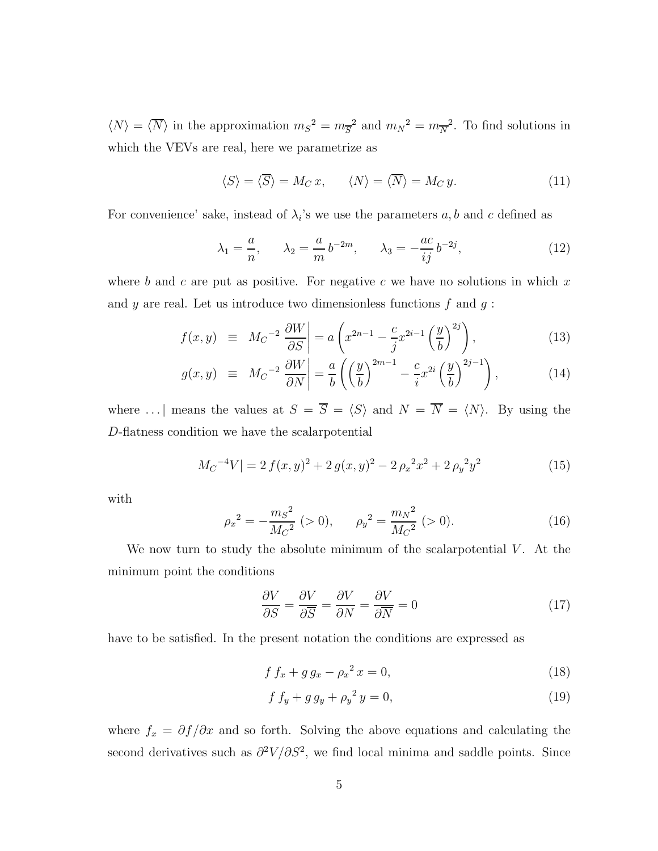$\langle N \rangle = \langle \overline{N} \rangle$  in the approximation  $m_S^2 = m_{\overline{S}}^2$  and  $m_N^2 = m_{\overline{N}}^2$ . To find solutions in which the VEVs are real, here we parametrize as

$$
\langle S \rangle = \langle \overline{S} \rangle = M_C x, \qquad \langle N \rangle = \langle \overline{N} \rangle = M_C y. \tag{11}
$$

For convenience' sake, instead of  $\lambda_i$ 's we use the parameters  $a, b$  and c defined as

$$
\lambda_1 = \frac{a}{n}, \qquad \lambda_2 = \frac{a}{m} b^{-2m}, \qquad \lambda_3 = -\frac{ac}{ij} b^{-2j},
$$
\n(12)

where b and c are put as positive. For negative c we have no solutions in which  $x$ and y are real. Let us introduce two dimensionless functions  $f$  and  $g$ :

$$
f(x,y) \equiv M_C^{-2} \frac{\partial W}{\partial S} \Big| = a \left( x^{2n-1} - \frac{c}{j} x^{2i-1} \left( \frac{y}{b} \right)^{2j} \right), \tag{13}
$$

$$
g(x,y) \equiv Mc^{-2} \frac{\partial W}{\partial N} \bigg| = \frac{a}{b} \left( \left( \frac{y}{b} \right)^{2m-1} - \frac{c}{i} x^{2i} \left( \frac{y}{b} \right)^{2j-1} \right), \tag{14}
$$

where ... | means the values at  $S = \overline{S} = \langle S \rangle$  and  $N = \overline{N} = \langle N \rangle$ . By using the D-flatness condition we have the scalarpotential

$$
M_C^{-4}V = 2 f(x, y)^2 + 2 g(x, y)^2 - 2 \rho_x^2 x^2 + 2 \rho_y^2 y^2 \tag{15}
$$

with

$$
\rho_x^2 = -\frac{m_S^2}{M_C^2} \ (>0), \qquad \rho_y^2 = \frac{m_N^2}{M_C^2} \ (>0). \tag{16}
$$

We now turn to study the absolute minimum of the scalar potential  $V$ . At the minimum point the conditions

$$
\frac{\partial V}{\partial S} = \frac{\partial V}{\partial \overline{S}} = \frac{\partial V}{\partial N} = \frac{\partial V}{\partial \overline{N}} = 0
$$
\n(17)

have to be satisfied. In the present notation the conditions are expressed as

$$
f f_x + g g_x - \rho_x^2 x = 0,
$$
\n(18)

$$
f f_y + g g_y + {\rho_y}^2 y = 0,
$$
\n(19)

where  $f_x = \partial f / \partial x$  and so forth. Solving the above equations and calculating the second derivatives such as  $\partial^2 V/\partial S^2$ , we find local minima and saddle points. Since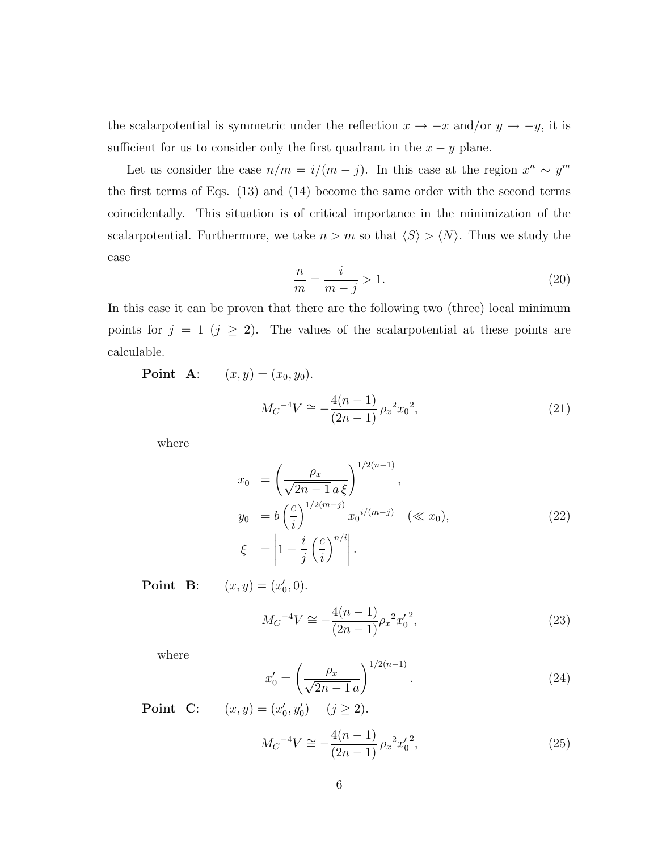the scalar potential is symmetric under the reflection  $x \to -x$  and/or  $y \to -y$ , it is sufficient for us to consider only the first quadrant in the  $x - y$  plane.

Let us consider the case  $n/m = i/(m - j)$ . In this case at the region  $x^n \sim y^m$ the first terms of Eqs. (13) and (14) become the same order with the second terms coincidentally. This situation is of critical importance in the minimization of the scalar<br>potential. Furthermore, we take  $n > m$  so that  $\langle S \rangle > \langle N \rangle$ . Thus we study the case

$$
\frac{n}{m} = \frac{i}{m-j} > 1.
$$
\n<sup>(20)</sup>

In this case it can be proven that there are the following two (three) local minimum points for  $j = 1$   $(j \geq 2)$ . The values of the scalar potential at these points are calculable.

**Point A**:  $(x, y) = (x_0, y_0).$ 

$$
M_C^{-4}V \cong -\frac{4(n-1)}{(2n-1)} \rho_x^2 x_0^2,\tag{21}
$$

where

$$
x_0 = \left(\frac{\rho_x}{\sqrt{2n - 1} a \xi}\right)^{1/2(n-1)},
$$
  
\n
$$
y_0 = b \left(\frac{c}{i}\right)^{1/2(m-j)} x_0^{i/(m-j)} \quad (\ll x_0),
$$
  
\n
$$
\xi = \left|1 - \frac{i}{j} \left(\frac{c}{i}\right)^{n/i}\right|.
$$
\n(22)

**Point B**:  $(x, y) = (x'_0, 0).$ 

$$
M_C^{-4}V \cong -\frac{4(n-1)}{(2n-1)}\rho_x^2 x_0'^2,\tag{23}
$$

where

$$
x'_0 = \left(\frac{\rho_x}{\sqrt{2n - 1}a}\right)^{1/2(n-1)}.\tag{24}
$$

**Point C**:  $(x, y) = (x'_0, y'_0)$   $(j \ge 2)$ .

$$
M_C^{-4}V \cong -\frac{4(n-1)}{(2n-1)} \rho_x^2 x_0'^2,\tag{25}
$$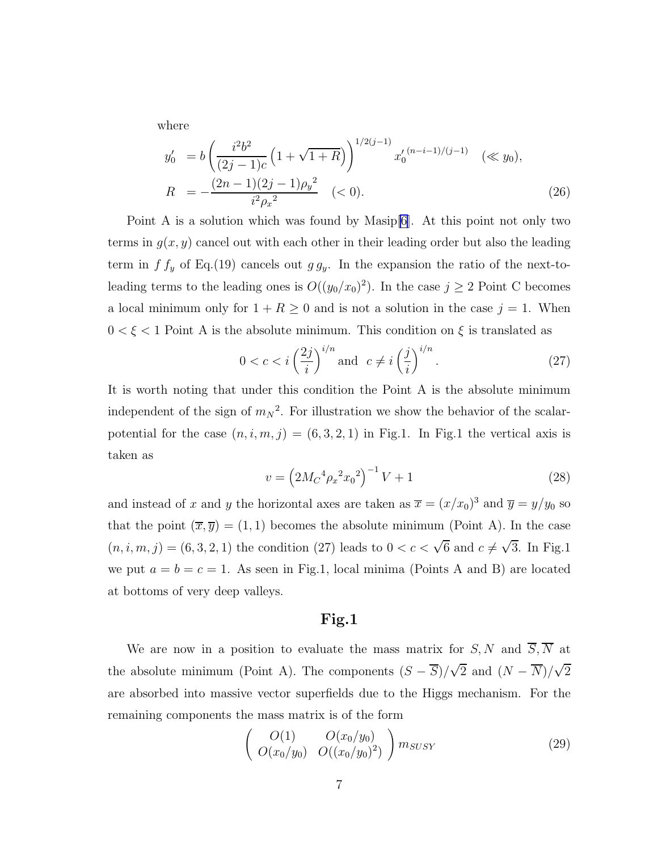where

$$
y'_0 = b \left( \frac{i^2 b^2}{(2j - 1)c} \left( 1 + \sqrt{1 + R} \right) \right)^{1/2(j-1)} x'_0^{(n-i-1)/(j-1)} \quad (\ll y_0),
$$
  

$$
R = -\frac{(2n - 1)(2j - 1)\rho y^2}{i^2 \rho x^2} \quad (< 0).
$$
 (26)

Point A is a solution which was found by Masip[\[6](#page-10-0)]. At this point not only two terms in  $g(x, y)$  cancel out with each other in their leading order but also the leading term in  $f f_y$  of Eq.(19) cancels out  $g g_y$ . In the expansion the ratio of the next-toleading terms to the leading ones is  $O((y_0/x_0)^2)$ . In the case  $j \ge 2$  Point C becomes a local minimum only for  $1 + R \geq 0$  and is not a solution in the case  $j = 1$ . When  $0<\xi<1$  Point A is the absolute minimum. This condition on  $\xi$  <br>is translated as

$$
0 < c < i\left(\frac{2j}{i}\right)^{i/n} \text{ and } c \neq i\left(\frac{j}{i}\right)^{i/n}.\tag{27}
$$

It is worth noting that under this condition the Point A is the absolute minimum independent of the sign of  $m_N^2$ . For illustration we show the behavior of the scalarpotential for the case  $(n, i, m, j) = (6, 3, 2, 1)$  in Fig.1. In Fig.1 the vertical axis is taken as

$$
v = \left(2M_C^4 \rho_x^2 x_0^2\right)^{-1} V + 1\tag{28}
$$

and instead of x and y the horizontal axes are taken as  $\overline{x} = (x/x_0)^3$  and  $\overline{y} = y/y_0$  so that the point  $(\overline{x}, \overline{y}) = (1, 1)$  becomes the absolute minimum (Point A). In the case  $(n, i, m, j) = (6, 3, 2, 1)$  the condition (27) leads to  $0 < c < \sqrt{6}$  and  $c \neq \sqrt{3}$ . In Fig.1 we put  $a = b = c = 1$ . As seen in Fig.1, local minima (Points A and B) are located at bottoms of very deep valleys.

### Fig.1

We are now in a position to evaluate the mass matrix for  $S, N$  and  $\overline{S}, \overline{N}$  at the absolute minimum (Point A). The components  $(S - \overline{S})/\sqrt{2}$  and  $(N - \overline{N})/\sqrt{2}$ are absorbed into massive vector superfields due to the Higgs mechanism. For the remaining components the mass matrix is of the form

$$
\left(\begin{array}{cc} O(1) & O(x_0/y_0) \\ O(x_0/y_0) & O((x_0/y_0)^2) \end{array}\right) m_{SUSY}
$$
 (29)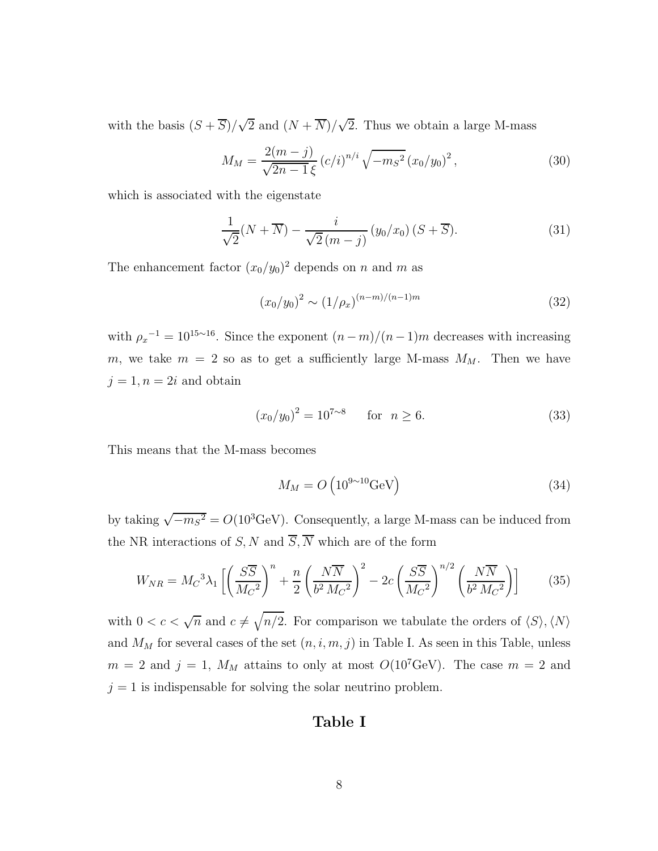with the basis  $(S + \overline{S})/\sqrt{2}$  and  $(N + \overline{N})/\sqrt{2}$ . Thus we obtain a large M-mass

$$
M_M = \frac{2(m-j)}{\sqrt{2n-1}\,\xi} \left(c/i\right)^{n/i} \sqrt{-m_S^2} \left(x_0/y_0\right)^2,\tag{30}
$$

which is associated with the eigenstate

$$
\frac{1}{\sqrt{2}}(N+\overline{N}) - \frac{i}{\sqrt{2}(m-j)}\left(y_0/x_0\right)(S+\overline{S}).\tag{31}
$$

The enhancement factor  $(x_0/y_0)^2$  depends on n and m as

$$
(x_0/y_0)^2 \sim (1/\rho_x)^{(n-m)/(n-1)m} \tag{32}
$$

with  $\rho_x^{-1} = 10^{15 \sim 16}$ . Since the exponent  $(n-m)/(n-1)m$  decreases with increasing m, we take  $m = 2$  so as to get a sufficiently large M-mass  $M_M$ . Then we have  $j = 1, n = 2i$  and obtain

$$
(x_0/y_0)^2 = 10^{7 \sim 8} \quad \text{for} \quad n \ge 6. \tag{33}
$$

This means that the M-mass becomes

$$
M_M = O\left(10^{9 \sim 10} \text{GeV}\right) \tag{34}
$$

by taking  $\sqrt{-m_S^2} = O(10^3 \text{GeV})$ . Consequently, a large M-mass can be induced from the NR interactions of S, N and  $\overline{S}$ , N which are of the form

$$
W_{NR} = M_C^3 \lambda_1 \left[ \left( \frac{S\overline{S}}{M_C^2} \right)^n + \frac{n}{2} \left( \frac{N\overline{N}}{b^2 M_C^2} \right)^2 - 2c \left( \frac{S\overline{S}}{M_C^2} \right)^{n/2} \left( \frac{N\overline{N}}{b^2 M_C^2} \right) \right]
$$
(35)

with  $0 < c < \sqrt{n}$  and  $c \neq \sqrt{n/2}$ . For comparison we tabulate the orders of  $\langle S \rangle$ ,  $\langle N \rangle$ and  $M_M$  for several cases of the set  $(n, i, m, j)$  in Table I. As seen in this Table, unless  $m = 2$  and  $j = 1$ ,  $M_M$  attains to only at most  $O(10^7 \text{GeV})$ . The case  $m = 2$  and  $j = 1$  is indispensable for solving the solar neutrino problem.

## Table I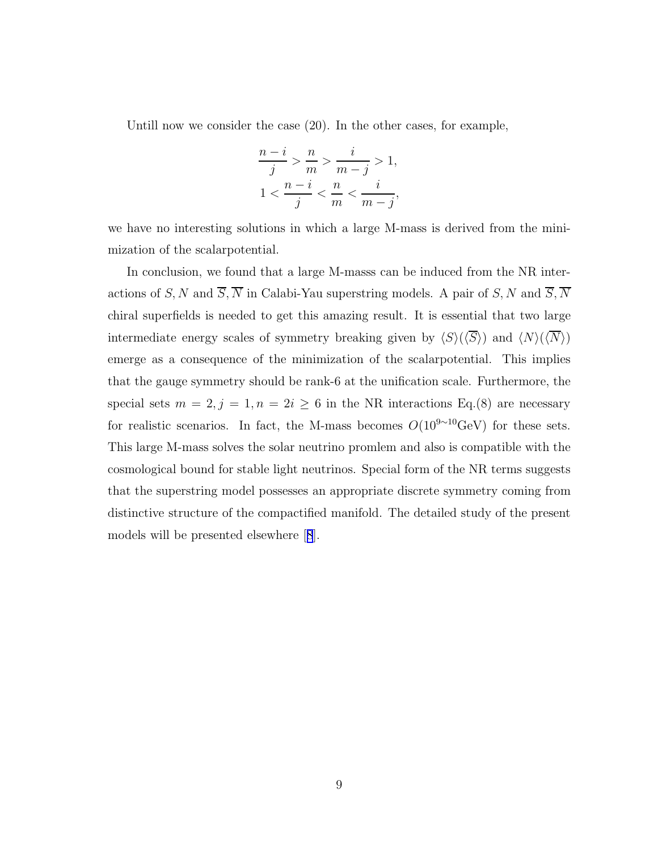Untill now we consider the case (20). In the other cases, for example,

$$
\frac{n-i}{j} > \frac{n}{m} > \frac{i}{m-j} > 1,
$$
  

$$
1 < \frac{n-i}{j} < \frac{n}{m} < \frac{i}{m-j},
$$

we have no interesting solutions in which a large M-mass is derived from the minimization of the scalarpotential.

In conclusion, we found that a large M-masss can be induced from the NR interactions of S, N and  $\overline{S}$ ,  $\overline{N}$  in Calabi-Yau superstring models. A pair of S, N and  $\overline{S}$ ,  $\overline{N}$ chiral superfields is needed to get this amazing result. It is essential that two large intermediate energy scales of symmetry breaking given by  $\langle S \rangle (\langle \overline{S} \rangle)$  and  $\langle N \rangle (\langle \overline{N} \rangle)$ emerge as a consequence of the minimization of the scalarpotential. This implies that the gauge symmetry should be rank-6 at the unification scale. Furthermore, the special sets  $m = 2, j = 1, n = 2i \ge 6$  in the NR interactions Eq.(8) are necessary for realistic scenarios. In fact, the M-mass becomes  $O(10^{9 \sim 10} \text{GeV})$  for these sets. This large M-mass solves the solar neutrino promlem and also is compatible with the cosmological bound for stable light neutrinos. Special form of the NR terms suggests that the superstring model possesses an appropriate discrete symmetry coming from distinctive structure of the compactified manifold. The detailed study of the present models will be presented elsewhere[[8](#page-10-0)].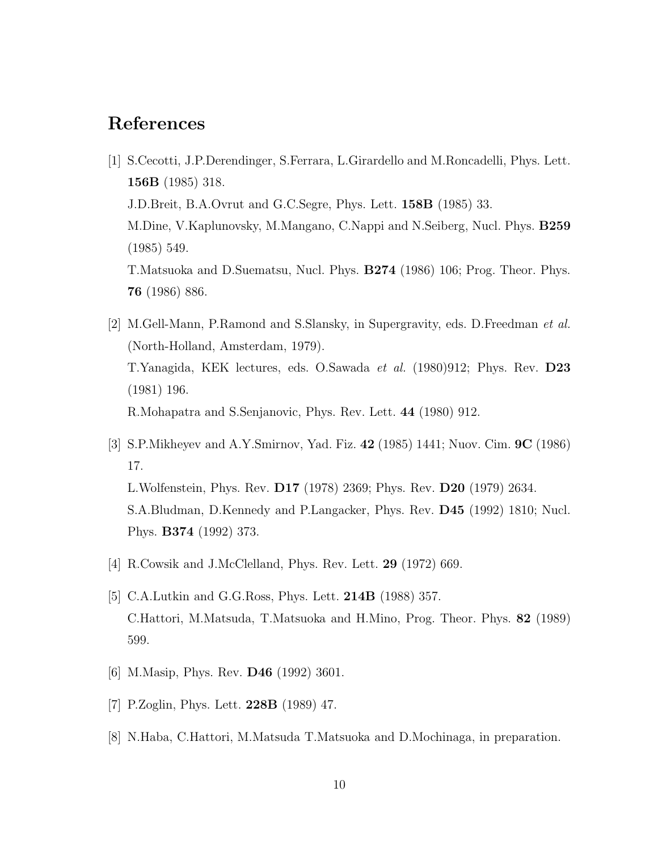## <span id="page-10-0"></span>References

- [1] S.Cecotti, J.P.Derendinger, S.Ferrara, L.Girardello and M.Roncadelli, Phys. Lett. 156B (1985) 318. J.D.Breit, B.A.Ovrut and G.C.Segre, Phys. Lett. 158B (1985) 33. M.Dine, V.Kaplunovsky, M.Mangano, C.Nappi and N.Seiberg, Nucl. Phys. B259 (1985) 549. T.Matsuoka and D.Suematsu, Nucl. Phys. B274 (1986) 106; Prog. Theor. Phys. 76 (1986) 886.
- [2] M.Gell-Mann, P.Ramond and S.Slansky, in Supergravity, eds. D.Freedman et al. (North-Holland, Amsterdam, 1979). T.Yanagida, KEK lectures, eds. O.Sawada et al. (1980)912; Phys. Rev. D23 (1981) 196. R.Mohapatra and S.Senjanovic, Phys. Rev. Lett. 44 (1980) 912.
- [3] S.P.Mikheyev and A.Y.Smirnov, Yad. Fiz. 42 (1985) 1441; Nuov. Cim. 9C (1986) 17. L.Wolfenstein, Phys. Rev. D17 (1978) 2369; Phys. Rev. D20 (1979) 2634. S.A.Bludman, D.Kennedy and P.Langacker, Phys. Rev. D45 (1992) 1810; Nucl. Phys. B374 (1992) 373.
- [4] R.Cowsik and J.McClelland, Phys. Rev. Lett. 29 (1972) 669.
- [5] C.A.Lutkin and G.G.Ross, Phys. Lett. 214B (1988) 357. C.Hattori, M.Matsuda, T.Matsuoka and H.Mino, Prog. Theor. Phys. 82 (1989) 599.
- [6] M.Masip, Phys. Rev. D46 (1992) 3601.
- [7] P.Zoglin, Phys. Lett. 228B (1989) 47.
- [8] N.Haba, C.Hattori, M.Matsuda T.Matsuoka and D.Mochinaga, in preparation.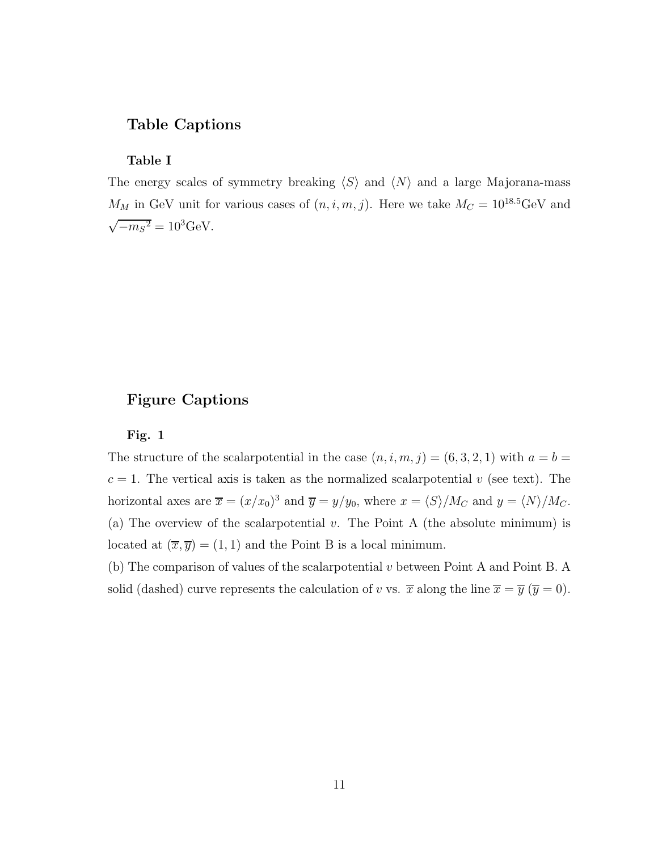### Table Captions

Table I

The energy scales of symmetry breaking  $\langle S \rangle$  and  $\langle N \rangle$  and a large Majorana-mass  $M_M$  in GeV unit for various cases of  $(n, i, m, j)$ . Here we take  $M_C = 10^{18.5}$ GeV and  $\sqrt{-m_S^2} = 10^3 \text{GeV}.$ 

### Figure Captions

### Fig. 1

The structure of the scalar otential in the case  $(n, i, m, j) = (6, 3, 2, 1)$  with  $a = b =$  $c = 1$ . The vertical axis is taken as the normalized scalar potential v (see text). The horizontal axes are  $\overline{x} = (x/x_0)^3$  and  $\overline{y} = y/y_0$ , where  $x = \langle S \rangle / M_C$  and  $y = \langle N \rangle / M_C$ . (a) The overview of the scalar potential v. The Point A (the absolute minimum) is located at  $(\overline{x}, \overline{y}) = (1, 1)$  and the Point B is a local minimum.

(b) The comparison of values of the scalarpotential v between Point A and Point B. A solid (dashed) curve represents the calculation of v vs.  $\bar{x}$  along the line  $\bar{x} = \bar{y}$  ( $\bar{y} = 0$ ).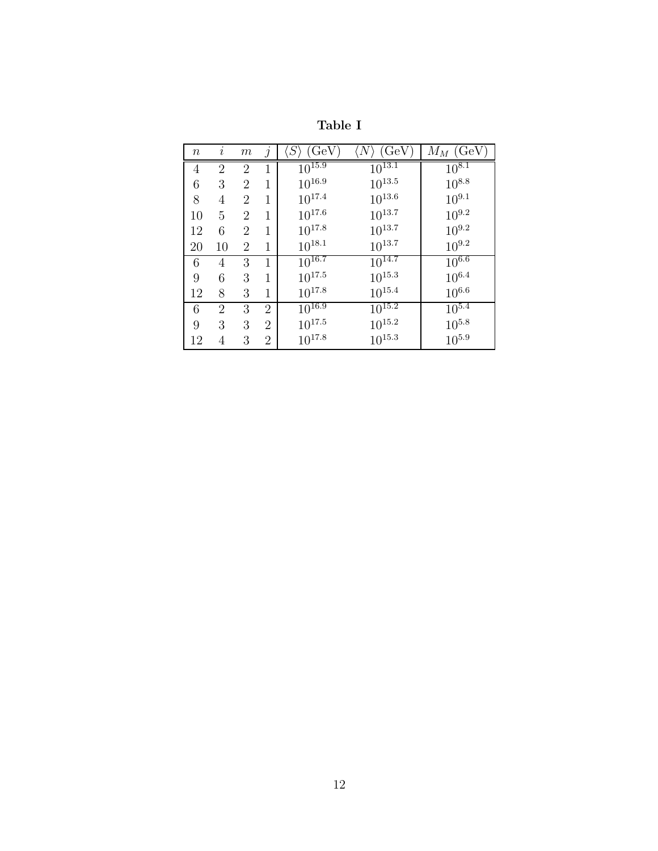| $\, n \,$ | $\imath$       | m              | $\mathcal{I}$  | (GeV)<br>$\langle S$ | (GeV)<br>$\langle N\rangle$ | $M_M$ (GeV) |
|-----------|----------------|----------------|----------------|----------------------|-----------------------------|-------------|
| 4         | $\overline{2}$ | 2              | 1              | $10^{15.9}$          | $10^{13.1}$                 | $10^{8.1}$  |
| 6         | 3              | $\overline{2}$ | 1              | $10^{16.9}$          | $10^{13.5}$                 | $10^{8.8}$  |
| 8         | 4              | $\overline{2}$ | 1              | $10^{17.4}$          | $10^{13.6}$                 | $10^{9.1}$  |
| 10        | 5              | 2              | 1              | $10^{17.6}$          | $10^{13.7}$                 | $10^{9.2}$  |
| 12        | 6              | $\overline{2}$ | 1              | $10^{17.8}$          | $10^{13.7}$                 | $10^{9.2}$  |
| 20        | 10             | 2              | 1              | $10^{18.1}$          | $10^{13.7}$                 | $10^{9.2}$  |
| 6         | 4              | 3              | 1              | $10^{16.7}$          | $10^{14.7}$                 | $10^{6.6}$  |
| 9         | 6              | 3              | 1              | $10^{17.5}$          | $10^{15.3}$                 | $10^{6.4}$  |
| 12        | 8              | 3              | 1              | $10^{17.8}$          | $10^{15.4}$                 | $10^{6.6}$  |
| 6         | 2              | 3              | $\overline{2}$ | $10^{16.9}$          | $10^{15.2}$                 | $10^{5.4}$  |
| 9         | 3              | 3              | $\overline{2}$ | $10^{17.5}$          | $10^{15.2}$                 | $10^{5.8}$  |
| 12        | 4              | 3              | $\overline{2}$ | $10^{17.8}$          | $10^{15.3}$                 | $10^{5.9}$  |

Table I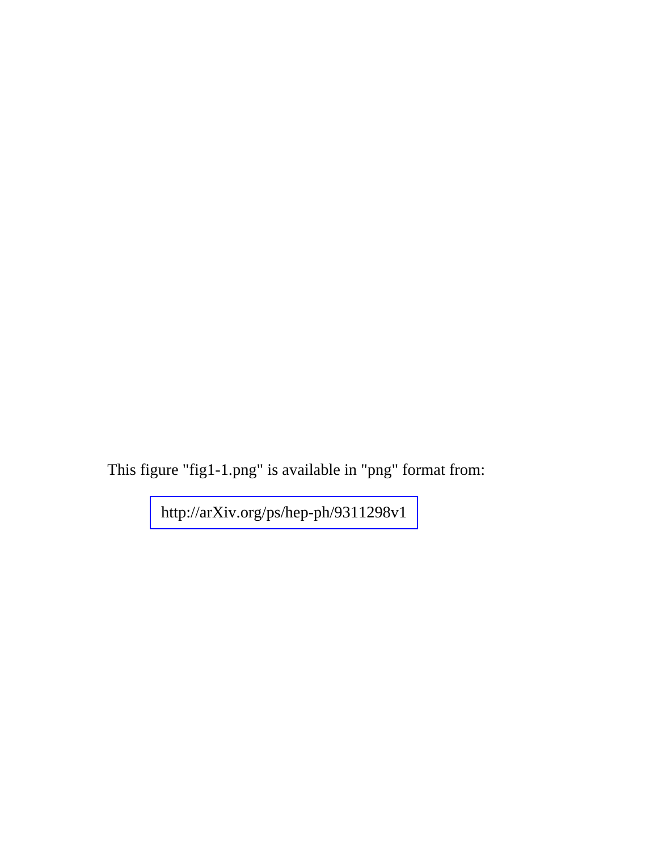This figure "fig1-1.png" is available in "png" format from:

<http://arXiv.org/ps/hep-ph/9311298v1>